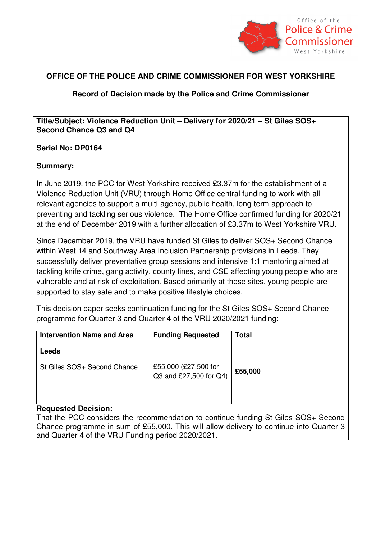

## **OFFICE OF THE POLICE AND CRIME COMMISSIONER FOR WEST YORKSHIRE**

## **Record of Decision made by the Police and Crime Commissioner**

**Title/Subject: Violence Reduction Unit – Delivery for 2020/21 – St Giles SOS+ Second Chance Q3 and Q4** 

### **Serial No: DP0164**

#### **Summary:**

In June 2019, the PCC for West Yorkshire received £3.37m for the establishment of a Violence Reduction Unit (VRU) through Home Office central funding to work with all relevant agencies to support a multi-agency, public health, long-term approach to preventing and tackling serious violence. The Home Office confirmed funding for 2020/21 at the end of December 2019 with a further allocation of £3.37m to West Yorkshire VRU.

Since December 2019, the VRU have funded St Giles to deliver SOS+ Second Chance within West 14 and Southway Area Inclusion Partnership provisions in Leeds. They successfully deliver preventative group sessions and intensive 1:1 mentoring aimed at tackling knife crime, gang activity, county lines, and CSE affecting young people who are vulnerable and at risk of exploitation. Based primarily at these sites, young people are supported to stay safe and to make positive lifestyle choices.

This decision paper seeks continuation funding for the St Giles SOS+ Second Chance programme for Quarter 3 and Quarter 4 of the VRU 2020/2021 funding:

| <b>Intervention Name and Area</b> | <b>Funding Requested</b>                       | <b>Total</b> |
|-----------------------------------|------------------------------------------------|--------------|
| Leeds                             |                                                |              |
| St Giles SOS+ Second Chance       | £55,000 (£27,500 for<br>Q3 and £27,500 for Q4) | £55,000      |

### **Requested Decision:**

That the PCC considers the recommendation to continue funding St Giles SOS+ Second Chance programme in sum of £55,000. This will allow delivery to continue into Quarter 3 and Quarter 4 of the VRU Funding period 2020/2021.